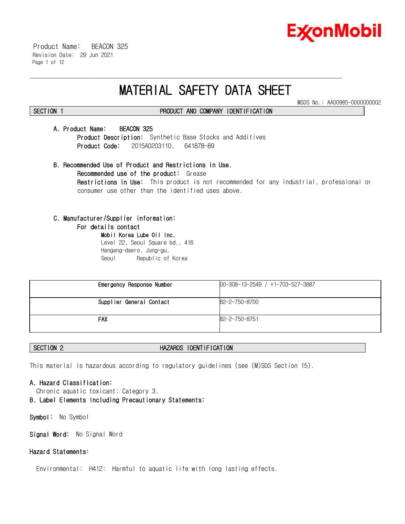

 Product Name: BEACON 325 Revision Date: 29 Jun 2021 Page 1 of 12

# **MATERIAL SAFETY DATA SHEET**

\_\_\_\_\_\_\_\_\_\_\_\_\_\_\_\_\_\_\_\_\_\_\_\_\_\_\_\_\_\_\_\_\_\_\_\_\_\_\_\_\_\_\_\_\_\_\_\_\_\_\_\_\_\_\_\_\_\_\_\_\_\_\_\_\_\_\_\_\_\_\_\_\_\_\_\_\_\_\_\_\_\_\_\_\_\_\_\_\_\_\_\_\_\_\_\_\_\_\_\_\_\_\_\_\_\_\_\_\_\_\_\_\_\_\_\_\_\_

MSDS No.: AA00985-0000000002

# **SECTION 1 PRODUCT AND COMPANY IDENTIFICATION**

# **A. Product Name: BEACON 325**

**Product Description:** Synthetic Base Stocks and Additives **Product Code:** 2015A0203110, 641878-89

**B. Recommended Use of Product and Restrictions in Use. Recommended use of the product:** Grease **Restrictions in Use:** This product is not recommended for any industrial, professional or consumer use other than the identified uses above.

# **C. Manufacturer/Supplier information:**

### **For details contact**

**Mobil Korea Lube Oil Inc.** Level 22, Seoul Square bd., 416 Hangang-daero, Jung-gu, Seoul Republic of Korea

| Emergency Response Number | 00-308-13-2549 / +1-703-527-3887 |
|---------------------------|----------------------------------|
| Supplier General Contact  | 82-2-750-8700                    |
| FAX                       | 82-2-750-8751                    |

# **SECTION 2 HAZARDS IDENTIFICATION**

This material is hazardous according to regulatory guidelines (see (M)SDS Section 15).

# **A. Hazard Classification:**

- Chronic aquatic toxicant: Category 3.
- **B. Label Elements Including Precautionary Statements:**

**Symbol:** No Symbol

**Signal Word:** No Signal Word

# **Hazard Statements:**

Environmental: H412: Harmful to aquatic life with long lasting effects.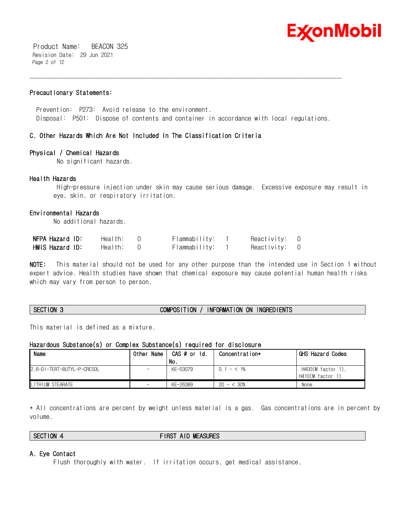

 Product Name: BEACON 325 Revision Date: 29 Jun 2021 Page 2 of 12

# **Precautionary Statements:**

 Prevention: P273: Avoid release to the environment. Disposal: P501: Dispose of contents and container in accordance with local regulations.

\_\_\_\_\_\_\_\_\_\_\_\_\_\_\_\_\_\_\_\_\_\_\_\_\_\_\_\_\_\_\_\_\_\_\_\_\_\_\_\_\_\_\_\_\_\_\_\_\_\_\_\_\_\_\_\_\_\_\_\_\_\_\_\_\_\_\_\_\_\_\_\_\_\_\_\_\_\_\_\_\_\_\_\_\_\_\_\_\_\_\_\_\_\_\_\_\_\_\_\_\_\_\_\_\_\_\_\_\_\_\_\_\_\_\_\_\_\_

# **C. Other Hazards Which Are Not Included In The Classification Criteria**

# **Physical / Chemical Hazards**

No significant hazards.

# **Health Hazards**

 High-pressure injection under skin may cause serious damage. Excessive exposure may result in eye, skin, or respiratory irritation.

# **Environmental Hazards**

No additional hazards.

| NFPA Hazard ID: | Health: | Flammability: | Reactivity: | $\overline{0}$ |
|-----------------|---------|---------------|-------------|----------------|
| HMIS Hazard ID: | Health: | Flammability: | Reactivity: | $\overline{0}$ |

**NOTE:** This material should not be used for any other purpose than the intended use in Section 1 without expert advice. Health studies have shown that chemical exposure may cause potential human health risks which may vary from person to person.

### **SECTION 3 COMPOSITION / INFORMATION ON INGREDIENTS**

This material is defined as a mixture.

### **Hazardous Substance(s) or Complex Substance(s) required for disclosure**

| Name                       | 0ther<br>Name            | CAS # or Id. | Concentration* | GHS Hazard Codes                      |
|----------------------------|--------------------------|--------------|----------------|---------------------------------------|
|                            |                          | No.          |                |                                       |
| 2.6-DI-TERT-BUTYL-P-CRESOL | $\overline{\phantom{a}}$ | KF-03079     | $0.1 - 5.1\%$  | H400(M factor 1),<br>H410(M factor 1) |
| <b>I</b> LITHIUM STEARATE  | $\overline{\phantom{0}}$ | KE-26389     | $20 - 530%$    | None                                  |

\* All concentrations are percent by weight unless material is a gas. Gas concentrations are in percent by volume.

# **SECTION 4 FIRST AID MEASURES**

# **A. Eye Contact**

Flush thoroughly with water. If irritation occurs, get medical assistance.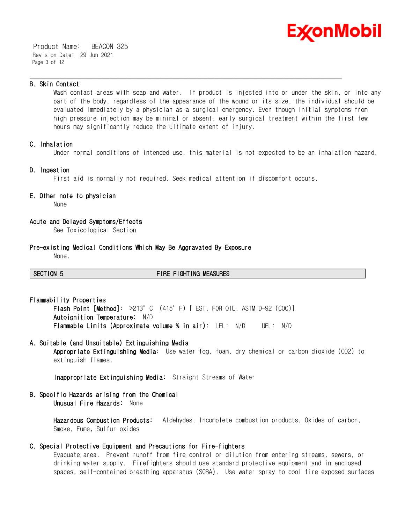

 Product Name: BEACON 325 Revision Date: 29 Jun 2021 Page 3 of 12

# **B. Skin Contact**

Wash contact areas with soap and water. If product is injected into or under the skin, or into any part of the body, regardless of the appearance of the wound or its size, the individual should be evaluated immediately by a physician as a surgical emergency. Even though initial symptoms from high pressure injection may be minimal or absent, early surgical treatment within the first few hours may significantly reduce the ultimate extent of injury.

# **C. Inhalation**

Under normal conditions of intended use, this material is not expected to be an inhalation hazard.

# **D. Ingestion**

First aid is normally not required. Seek medical attention if discomfort occurs.

\_\_\_\_\_\_\_\_\_\_\_\_\_\_\_\_\_\_\_\_\_\_\_\_\_\_\_\_\_\_\_\_\_\_\_\_\_\_\_\_\_\_\_\_\_\_\_\_\_\_\_\_\_\_\_\_\_\_\_\_\_\_\_\_\_\_\_\_\_\_\_\_\_\_\_\_\_\_\_\_\_\_\_\_\_\_\_\_\_\_\_\_\_\_\_\_\_\_\_\_\_\_\_\_\_\_\_\_\_\_\_\_\_\_\_\_\_\_

# **E. Other note to physician**

None

# **Acute and Delayed Symptoms/Effects**

See Toxicological Section

### **Pre-existing Medical Conditions Which May Be Aggravated By Exposure**

None.

**SECTION 5 FIRE FIGHTING MEASURES**

**Flammability Properties Flash Point [Method]:** >213°C (415°F) [ EST. FOR OIL, ASTM D-92 (COC)] **Autoignition Temperature:** N/D **Flammable Limits (Approximate volume % in air):** LEL: N/D UEL: N/D

# **A. Suitable (and Unsuitable) Extinguishing Media**

**Appropriate Extinguishing Media:** Use water fog, foam, dry chemical or carbon dioxide (CO2) to extinguish flames.

**Inappropriate Extinguishing Media:** Straight Streams of Water

# **B. Specific Hazards arising from the Chemical Unusual Fire Hazards:** None

**Hazardous Combustion Products:** Aldehydes, Incomplete combustion products, Oxides of carbon, Smoke, Fume, Sulfur oxides

# **C. Special Protective Equipment and Precautions for Fire-fighters**

Evacuate area. Prevent runoff from fire control or dilution from entering streams, sewers, or drinking water supply. Firefighters should use standard protective equipment and in enclosed spaces, self-contained breathing apparatus (SCBA). Use water spray to cool fire exposed surfaces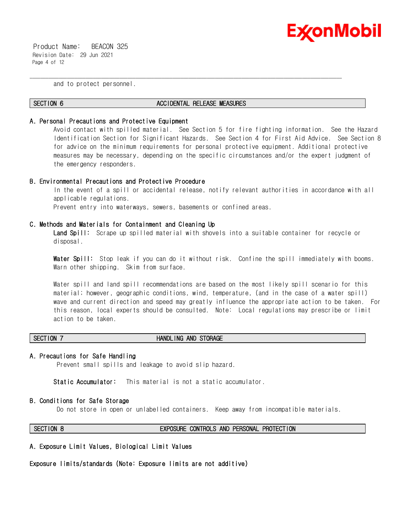

 Product Name: BEACON 325 Revision Date: 29 Jun 2021 Page 4 of 12

and to protect personnel.

### **SECTION 6 ACCIDENTAL RELEASE MEASURES**

\_\_\_\_\_\_\_\_\_\_\_\_\_\_\_\_\_\_\_\_\_\_\_\_\_\_\_\_\_\_\_\_\_\_\_\_\_\_\_\_\_\_\_\_\_\_\_\_\_\_\_\_\_\_\_\_\_\_\_\_\_\_\_\_\_\_\_\_\_\_\_\_\_\_\_\_\_\_\_\_\_\_\_\_\_\_\_\_\_\_\_\_\_\_\_\_\_\_\_\_\_\_\_\_\_\_\_\_\_\_\_\_\_\_\_\_\_\_

### **A. Personal Precautions and Protective Equipment**

Avoid contact with spilled material. See Section 5 for fire fighting information. See the Hazard Identification Section for Significant Hazards. See Section 4 for First Aid Advice. See Section 8 for advice on the minimum requirements for personal protective equipment. Additional protective measures may be necessary, depending on the specific circumstances and/or the expert judgment of the emergency responders.

### **B. Environmental Precautions and Protective Procedure**

In the event of a spill or accidental release, notify relevant authorities in accordance with all applicable regulations. Prevent entry into waterways, sewers, basements or confined areas.

# **C. Methods and Materials for Containment and Cleaning Up**

**Land Spill:** Scrape up spilled material with shovels into a suitable container for recycle or disposal.

**Water Spill:** Stop leak if you can do it without risk. Confine the spill immediately with booms. Warn other shipping. Skim from surface.

Water spill and land spill recommendations are based on the most likely spill scenario for this material; however, geographic conditions, wind, temperature, (and in the case of a water spill) wave and current direction and speed may greatly influence the appropriate action to be taken. For this reason, local experts should be consulted. Note: Local regulations may prescribe or limit action to be taken.

# **SECTION 7 HANDLING AND STORAGE**

### **A. Precautions for Safe Handling**

Prevent small spills and leakage to avoid slip hazard.

**Static Accumulator:** This material is not a static accumulator.

### **B. Conditions for Safe Storage**

Do not store in open or unlabelled containers. Keep away from incompatible materials.

### **SECTION 8 EXPOSURE CONTROLS AND PERSONAL PROTECTION**

**A. Exposure Limit Values, Biological Limit Values**

**Exposure limits/standards (Note: Exposure limits are not additive)**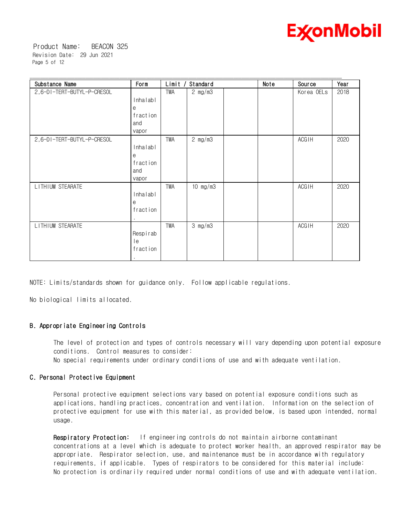

 Product Name: BEACON 325 Revision Date: 29 Jun 2021 Page 5 of 12

| Substance Name             | Form                                      | Limit      | Standard          | Note | <b>Source</b> | Year |
|----------------------------|-------------------------------------------|------------|-------------------|------|---------------|------|
| 2,6-DI-TERT-BUTYL-P-CRESOL | Inhalabl<br>е<br>fraction<br>and          | TWA        | $2 \text{ mg/m3}$ |      | Korea OELs    | 2018 |
|                            | vapor                                     |            |                   |      |               |      |
| 2,6-DI-TERT-BUTYL-P-CRESOL | Inhalabl<br>e<br>fraction<br>and<br>vapor | TWA        | 2 mg/m3           |      | <b>ACGIH</b>  | 2020 |
| LITHIUM STEARATE           | Inhalabl<br>e<br>fraction                 | <b>TWA</b> | $10$ mg/m $3$     |      | <b>ACGIH</b>  | 2020 |
| LITHIUM STEARATE           | Respirab<br>le<br>fraction                | TWA        | $3$ mg/m $3$      |      | <b>ACGIH</b>  | 2020 |

\_\_\_\_\_\_\_\_\_\_\_\_\_\_\_\_\_\_\_\_\_\_\_\_\_\_\_\_\_\_\_\_\_\_\_\_\_\_\_\_\_\_\_\_\_\_\_\_\_\_\_\_\_\_\_\_\_\_\_\_\_\_\_\_\_\_\_\_\_\_\_\_\_\_\_\_\_\_\_\_\_\_\_\_\_\_\_\_\_\_\_\_\_\_\_\_\_\_\_\_\_\_\_\_\_\_\_\_\_\_\_\_\_\_\_\_\_\_

NOTE: Limits/standards shown for guidance only. Follow applicable regulations.

No biological limits allocated.

# **B. Appropriate Engineering Controls**

The level of protection and types of controls necessary will vary depending upon potential exposure conditions. Control measures to consider:

No special requirements under ordinary conditions of use and with adequate ventilation.

# **C. Personal Protective Equipment**

Personal protective equipment selections vary based on potential exposure conditions such as applications, handling practices, concentration and ventilation. Information on the selection of protective equipment for use with this material, as provided below, is based upon intended, normal usage.

**Respiratory Protection:** If engineering controls do not maintain airborne contaminant concentrations at a level which is adequate to protect worker health, an approved respirator may be appropriate. Respirator selection, use, and maintenance must be in accordance with regulatory requirements, if applicable. Types of respirators to be considered for this material include: No protection is ordinarily required under normal conditions of use and with adequate ventilation.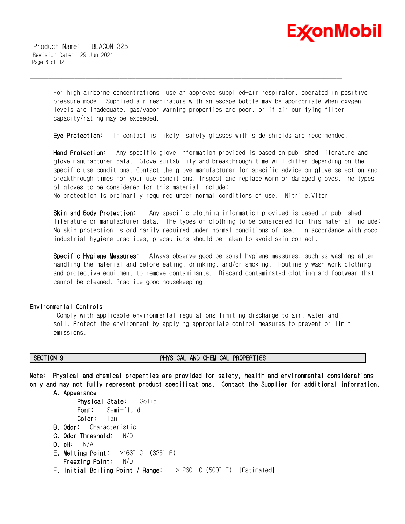

 Product Name: BEACON 325 Revision Date: 29 Jun 2021 Page 6 of 12

> For high airborne concentrations, use an approved supplied-air respirator, operated in positive pressure mode. Supplied air respirators with an escape bottle may be appropriate when oxygen levels are inadequate, gas/vapor warning properties are poor, or if air purifying filter capacity/rating may be exceeded.

**Eye Protection:** If contact is likely, safety glasses with side shields are recommended.

\_\_\_\_\_\_\_\_\_\_\_\_\_\_\_\_\_\_\_\_\_\_\_\_\_\_\_\_\_\_\_\_\_\_\_\_\_\_\_\_\_\_\_\_\_\_\_\_\_\_\_\_\_\_\_\_\_\_\_\_\_\_\_\_\_\_\_\_\_\_\_\_\_\_\_\_\_\_\_\_\_\_\_\_\_\_\_\_\_\_\_\_\_\_\_\_\_\_\_\_\_\_\_\_\_\_\_\_\_\_\_\_\_\_\_\_\_\_

**Hand Protection:** Any specific glove information provided is based on published literature and glove manufacturer data. Glove suitability and breakthrough time will differ depending on the specific use conditions. Contact the glove manufacturer for specific advice on glove selection and breakthrough times for your use conditions. Inspect and replace worn or damaged gloves. The types of gloves to be considered for this material include:

No protection is ordinarily required under normal conditions of use. Nitrile,Viton

**Skin and Body Protection:** Any specific clothing information provided is based on published literature or manufacturer data. The types of clothing to be considered for this material include: No skin protection is ordinarily required under normal conditions of use. In accordance with good industrial hygiene practices, precautions should be taken to avoid skin contact.

**Specific Hygiene Measures:** Always observe good personal hygiene measures, such as washing after handling the material and before eating, drinking, and/or smoking. Routinely wash work clothing and protective equipment to remove contaminants. Discard contaminated clothing and footwear that cannot be cleaned. Practice good housekeeping.

### **Environmental Controls**

 Comply with applicable environmental regulations limiting discharge to air, water and soil. Protect the environment by applying appropriate control measures to prevent or limit emissions.

# **SECTION 9 PHYSICAL AND CHEMICAL PROPERTIES**

**Note: Physical and chemical properties are provided for safety, health and environmental considerations only and may not fully represent product specifications. Contact the Supplier for additional information.**

**A. Appearance**

```
Physical State: Solid
      Form: Semi-fluid
      Color: Tan
B. Odor: Characteristic
C. Odor Threshold: N/D
D. pH: N/A
E. Melting Point: >163°C (325°F)
   Freezing Point: N/D
F. Initial Boiling Point / Range: > 260°C (500°F) [Estimated]
```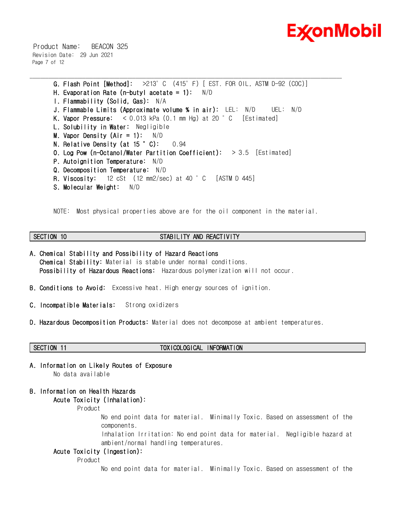

 Product Name: BEACON 325 Revision Date: 29 Jun 2021 Page 7 of 12

> **G. Flash Point [Method]:** >213°C (415°F) [ EST. FOR OIL, ASTM D-92 (COC)] **H. Evaporation Rate (n-butyl acetate = 1):** N/D **I. Flammability (Solid, Gas):** N/A **J. Flammable Limits (Approximate volume % in air):** LEL: N/D UEL: N/D **K. Vapor Pressure:** < 0.013 kPa (0.1 mm Hg) at 20 °C [Estimated] **L. Solubility in Water:** Negligible **M. Vapor Density (Air = 1):** N/D **N. Relative Density (at 15 °C):** 0.94 **O. Log Pow (n-Octanol/Water Partition Coefficient):** > 3.5 [Estimated] **P. Autoignition Temperature:** N/D **Q. Decomposition Temperature:** N/D **R. Viscosity:** 12 cSt (12 mm2/sec) at 40 °C [ASTM D 445] **S. Molecular Weight:** N/D

\_\_\_\_\_\_\_\_\_\_\_\_\_\_\_\_\_\_\_\_\_\_\_\_\_\_\_\_\_\_\_\_\_\_\_\_\_\_\_\_\_\_\_\_\_\_\_\_\_\_\_\_\_\_\_\_\_\_\_\_\_\_\_\_\_\_\_\_\_\_\_\_\_\_\_\_\_\_\_\_\_\_\_\_\_\_\_\_\_\_\_\_\_\_\_\_\_\_\_\_\_\_\_\_\_\_\_\_\_\_\_\_\_\_\_\_\_\_

NOTE: Most physical properties above are for the oil component in the material.

# **SECTION 10 STABILITY AND REACTIVITY**

- **A. Chemical Stability and Possibility of Hazard Reactions Chemical Stability:** Material is stable under normal conditions.  **Possibility of Hazardous Reactions:** Hazardous polymerization will not occur.
- **B. Conditions to Avoid:** Excessive heat. High energy sources of ignition.
- **C. Incompatible Materials:** Strong oxidizers
- **D. Hazardous Decomposition Products:** Material does not decompose at ambient temperatures.
- 

### **SECTION 11 TOXICOLOGICAL INFORMATION**

**A. Information on Likely Routes of Exposure** No data available

# **B. Information on Health Hazards Acute Toxicity (Inhalation):**

Product

No end point data for material. Minimally Toxic. Based on assessment of the components.

Inhalation Irritation: No end point data for material. Negligible hazard at ambient/normal handling temperatures.

# **Acute Toxicity (Ingestion):**

Product

No end point data for material. Minimally Toxic. Based on assessment of the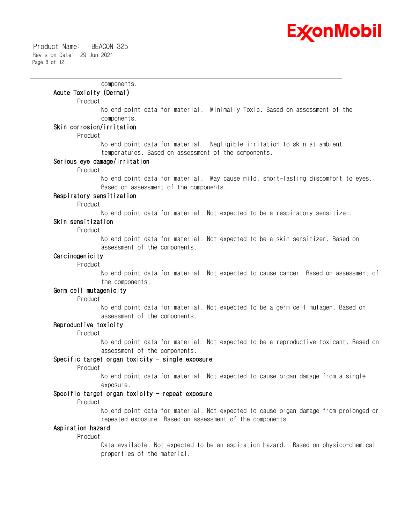

components.

### **Acute Toxicity (Dermal)**

### Product

No end point data for material. Minimally Toxic. Based on assessment of the components.

\_\_\_\_\_\_\_\_\_\_\_\_\_\_\_\_\_\_\_\_\_\_\_\_\_\_\_\_\_\_\_\_\_\_\_\_\_\_\_\_\_\_\_\_\_\_\_\_\_\_\_\_\_\_\_\_\_\_\_\_\_\_\_\_\_\_\_\_\_\_\_\_\_\_\_\_\_\_\_\_\_\_\_\_\_\_\_\_\_\_\_\_\_\_\_\_\_\_\_\_\_\_\_\_\_\_\_\_\_\_\_\_\_\_\_\_\_\_

# **Skin corrosion/irritation**

Product

No end point data for material. Negligible irritation to skin at ambient temperatures. Based on assessment of the components.

### **Serious eye damage/irritation**

Product

No end point data for material. May cause mild, short-lasting discomfort to eyes. Based on assessment of the components.

# **Respiratory sensitization**

Product

No end point data for material. Not expected to be a respiratory sensitizer.

### **Skin sensitization**

Product

No end point data for material. Not expected to be a skin sensitizer. Based on assessment of the components.

# **Carcinogenicity**

Product

No end point data for material. Not expected to cause cancer. Based on assessment of the components.

### **Germ cell mutagenicity**

Product

No end point data for material. Not expected to be a germ cell mutagen. Based on assessment of the components.

### **Reproductive toxicity**

Product

No end point data for material. Not expected to be a reproductive toxicant. Based on assessment of the components.

# **Specific target organ toxicity - single exposure**

Product

No end point data for material. Not expected to cause organ damage from a single exposure.

### **Specific target organ toxicity - repeat exposure**

Product

No end point data for material. Not expected to cause organ damage from prolonged or repeated exposure. Based on assessment of the components.

### **Aspiration hazard**

Product

Data available. Not expected to be an aspiration hazard. Based on physico-chemical properties of the material.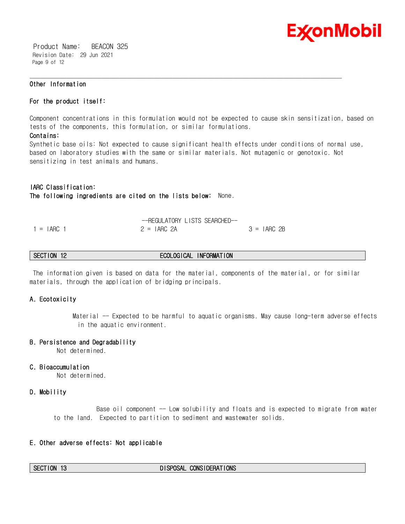

 Product Name: BEACON 325 Revision Date: 29 Jun 2021 Page 9 of 12

# **Other Information**

### **For the product itself:**

Component concentrations in this formulation would not be expected to cause skin sensitization, based on tests of the components, this formulation, or similar formulations.

# **Contains:**

Synthetic base oils: Not expected to cause significant health effects under conditions of normal use, based on laboratory studies with the same or similar materials. Not mutagenic or genotoxic. Not sensitizing in test animals and humans.

\_\_\_\_\_\_\_\_\_\_\_\_\_\_\_\_\_\_\_\_\_\_\_\_\_\_\_\_\_\_\_\_\_\_\_\_\_\_\_\_\_\_\_\_\_\_\_\_\_\_\_\_\_\_\_\_\_\_\_\_\_\_\_\_\_\_\_\_\_\_\_\_\_\_\_\_\_\_\_\_\_\_\_\_\_\_\_\_\_\_\_\_\_\_\_\_\_\_\_\_\_\_\_\_\_\_\_\_\_\_\_\_\_\_\_\_\_\_

# **IARC Classification:**

**The following ingredients are cited on the lists below:** None.

|              | -REGULATORY LISTS SEARCHED-- |              |
|--------------|------------------------------|--------------|
| $=$ IARC $=$ | $2 = IARG 2A$                | $3 = IARG2B$ |

# **SECTION 12 ECOLOGICAL INFORMATION**

 The information given is based on data for the material, components of the material, or for similar materials, through the application of bridging principals.

# **A. Ecotoxicity**

Material -- Expected to be harmful to aquatic organisms. May cause long-term adverse effects in the aquatic environment.

### **B. Persistence and Degradability**

Not determined.

### **C. Bioaccumulation**

Not determined.

### **D. Mobility**

Base oil component -- Low solubility and floats and is expected to migrate from water to the land. Expected to partition to sediment and wastewater solids.

# **E. Other adverse effects: Not applicable**

### **SECTION 13 DISPOSAL CONSIDERATIONS**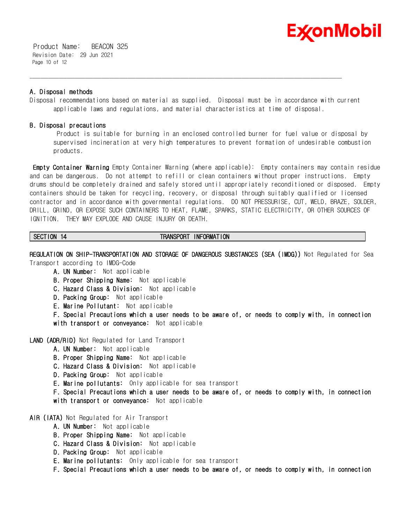

 Product Name: BEACON 325 Revision Date: 29 Jun 2021 Page 10 of 12

# **A. Disposal methods**

Disposal recommendations based on material as supplied. Disposal must be in accordance with current applicable laws and regulations, and material characteristics at time of disposal.

\_\_\_\_\_\_\_\_\_\_\_\_\_\_\_\_\_\_\_\_\_\_\_\_\_\_\_\_\_\_\_\_\_\_\_\_\_\_\_\_\_\_\_\_\_\_\_\_\_\_\_\_\_\_\_\_\_\_\_\_\_\_\_\_\_\_\_\_\_\_\_\_\_\_\_\_\_\_\_\_\_\_\_\_\_\_\_\_\_\_\_\_\_\_\_\_\_\_\_\_\_\_\_\_\_\_\_\_\_\_\_\_\_\_\_\_\_\_

# **B. Disposal precautions**

 Product is suitable for burning in an enclosed controlled burner for fuel value or disposal by supervised incineration at very high temperatures to prevent formation of undesirable combustion products.

**Empty Container Warning** Empty Container Warning (where applicable): Empty containers may contain residue and can be dangerous. Do not attempt to refill or clean containers without proper instructions. Empty drums should be completely drained and safely stored until appropriately reconditioned or disposed. Empty containers should be taken for recycling, recovery, or disposal through suitably qualified or licensed contractor and in accordance with governmental regulations. DO NOT PRESSURISE, CUT, WELD, BRAZE, SOLDER, DRILL, GRIND, OR EXPOSE SUCH CONTAINERS TO HEAT, FLAME, SPARKS, STATIC ELECTRICITY, OR OTHER SOURCES OF IGNITION. THEY MAY EXPLODE AND CAUSE INJURY OR DEATH.

# **SECTION 14 TRANSPORT INFORMATION**

**REGULATION ON SHIP-TRANSPORTATION AND STORAGE OF DANGEROUS SUBSTANCES (SEA (IMDG))** Not Regulated for Sea Transport according to IMDG-Code

- **A. UN Number:** Not applicable
- **B. Proper Shipping Name:** Not applicable
- **C. Hazard Class & Division:** Not applicable
- **D. Packing Group:** Not applicable
- **E. Marine Pollutant:** Not applicable

**F. Special Precautions which a user needs to be aware of, or needs to comply with, in connection with transport or conveyance:** Not applicable

- **LAND (ADR/RID)** Not Regulated for Land Transport
	- **A. UN Number:** Not applicable
	- **B. Proper Shipping Name:** Not applicable
	- **C. Hazard Class & Division:** Not applicable
	- **D. Packing Group:** Not applicable
	- **E. Marine pollutants:** Only applicable for sea transport
	- **F. Special Precautions which a user needs to be aware of, or needs to comply with, in connection with transport or conveyance:** Not applicable

# **AIR (IATA)** Not Regulated for Air Transport

- **A. UN Number:** Not applicable
- **B. Proper Shipping Name:** Not applicable
- **C. Hazard Class & Division:** Not applicable
- **D. Packing Group:** Not applicable
- **E. Marine pollutants:** Only applicable for sea transport
- **F. Special Precautions which a user needs to be aware of, or needs to comply with, in connection**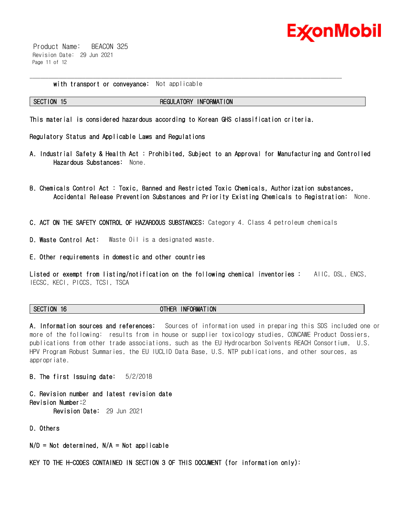

 Product Name: BEACON 325 Revision Date: 29 Jun 2021 Page 11 of 12

**with transport or conveyance:** Not applicable

# **SECTION 15 REGULATORY INFORMATION**

\_\_\_\_\_\_\_\_\_\_\_\_\_\_\_\_\_\_\_\_\_\_\_\_\_\_\_\_\_\_\_\_\_\_\_\_\_\_\_\_\_\_\_\_\_\_\_\_\_\_\_\_\_\_\_\_\_\_\_\_\_\_\_\_\_\_\_\_\_\_\_\_\_\_\_\_\_\_\_\_\_\_\_\_\_\_\_\_\_\_\_\_\_\_\_\_\_\_\_\_\_\_\_\_\_\_\_\_\_\_\_\_\_\_\_\_\_\_

**This material is considered hazardous according to Korean GHS classification criteria.**

**Regulatory Status and Applicable Laws and Regulations**

- **A. Industrial Safety & Health Act : Prohibited, Subject to an Approval for Manufacturing and Controlled Hazardous Substances:** None.
- **B. Chemicals Control Act : Toxic, Banned and Restricted Toxic Chemicals, Authorization substances, Accidental Release Prevention Substances and Priority Existing Chemicals to Registration:** None.

**C. ACT ON THE SAFETY CONTROL OF HAZARDOUS SUBSTANCES:** Category 4. Class 4 petroleum chemicals

**D. Waste Control Act:** Waste Oil is a designated waste.

**E. Other requirements in domestic and other countries**

**Listed or exempt from listing/notification on the following chemical inventories :** AIIC, DSL, ENCS, IECSC, KECI, PICCS, TCSI, TSCA

**SECTION 16 OTHER INFORMATION**

**A. Information sources and references:** Sources of information used in preparing this SDS included one or more of the following: results from in house or supplier toxicology studies, CONCAWE Product Dossiers, publications from other trade associations, such as the EU Hydrocarbon Solvents REACH Consortium, U.S. HPV Program Robust Summaries, the EU IUCLID Data Base, U.S. NTP publications, and other sources, as appropriate.

**B. The first Issuing date:** 5/2/2018

**C. Revision number and latest revision date Revision Number:**2 **Revision Date:** 29 Jun 2021

**D. Others**

**N/D = Not determined, N/A = Not applicable**

**KEY TO THE H-CODES CONTAINED IN SECTION 3 OF THIS DOCUMENT (for information only):**